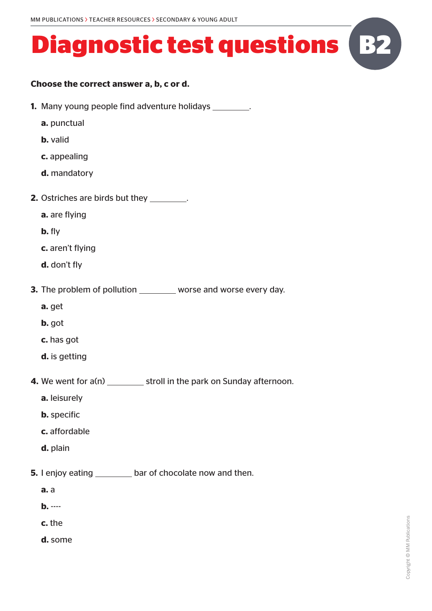#### **Choose the correct answer a, b, c or d.**

- **1.** Many young people find adventure holidays \_\_\_\_\_\_\_\_.
	- **a.** punctual
	- **b.** valid
	- **c.** appealing
	- **d.** mandatory
- **2.** Ostriches are birds but they \_\_\_\_\_\_\_\_.
	- **a.** are flying
	- **b.** fly
	- **c.** aren't flying
	- **d.** don't fly
- **3.** The problem of pollution worse and worse every day.
	- **a.** get
	- **b.** got
	- **c.** has got
	- **d.** is getting
- **4.** We went for a(n) stroll in the park on Sunday afternoon.
	- **a.** leisurely
	- **b.** specific
	- **c.** affordable
	- **d.** plain
- **5.** I enjoy eating bar of chocolate now and then.
	- **a.** a
	- **b.** ----
	- **c.** the
	- **d.** some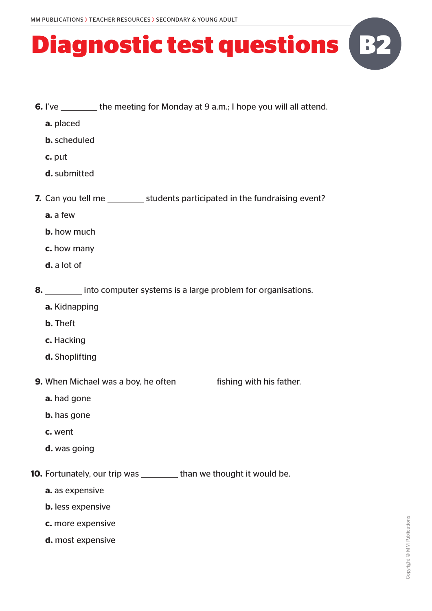

**a.** placed

- **b.** scheduled
- **c.** put
- **d.** submitted
- **7.** Can you tell me \_\_\_\_\_\_\_\_\_\_ students participated in the fundraising event?
	- **a.** a few
	- **b.** how much
	- **c.** how many
	- **d.** a lot of
- **8.** into computer systems is a large problem for organisations.
	- **a.** Kidnapping
	- **b.** Theft
	- **c.** Hacking
	- **d.** Shoplifting
- **9.** When Michael was a boy, he often **fishing with his father.** 
	- **a.** had gone
	- **b.** has gone
	- **c.** went
	- **d.** was going
- **10.** Fortunately, our trip was \_\_\_\_\_\_\_\_ than we thought it would be.
	- **a.** as expensive
	- **b.** less expensive
	- **c.** more expensive
	- **d.** most expensive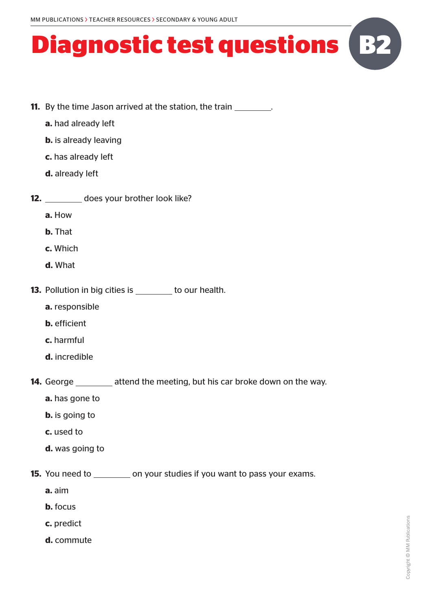- **11.** By the time Jason arrived at the station, the train \_\_\_\_\_\_\_\_\_.
	- **a.** had already left
	- **b.** is already leaving
	- **c.** has already left
	- **d.** already left
- **12.** does your brother look like?
	- **a.** How
	- **b.** That
	- **c.** Which
	- **d.** What
- **13.** Pollution in big cities is to our health.
	- **a.** responsible
	- **b.** efficient
	- **c.** harmful
	- **d.** incredible
- **14.** George \_\_\_\_\_\_\_ attend the meeting, but his car broke down on the way.
	- **a.** has gone to
	- **b.** is going to
	- **c.** used to
	- **d.** was going to
- **15.** You need to \_\_\_\_\_\_\_\_\_ on your studies if you want to pass your exams.
	- **a.** aim
	- **b.** focus
	- **c.** predict
	- **d.** commute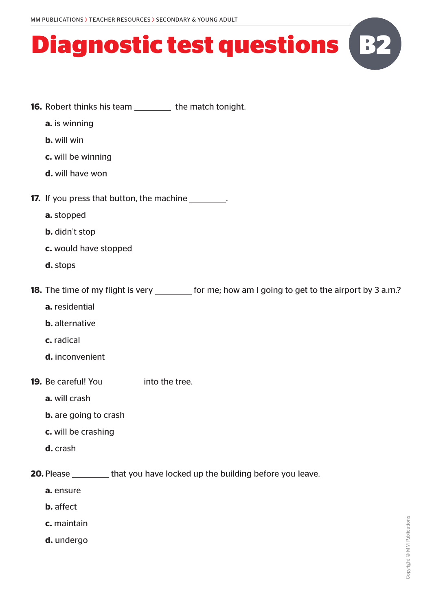- **16.** Robert thinks his team the match tonight.
	- **a.** is winning
	- **b.** will win
	- **c.** will be winning
	- **d.** will have won
- **17.** If you press that button, the machine
	- **a.** stopped
	- **b.** didn't stop
	- **c.** would have stopped
	- **d.** stops

**18.** The time of my flight is very set of me; how am I going to get to the airport by 3 a.m.?

- **a.** residential
- **b.** alternative
- **c.** radical
- **d.** inconvenient
- **19.** Be careful! You into the tree.
	- **a.** will crash
	- **b.** are going to crash
	- **c.** will be crashing
	- **d.** crash
- **20.** Please that you have locked up the building before you leave.
	- **a.** ensure
	- **b.** affect
	- **c.** maintain
	- **d.** undergo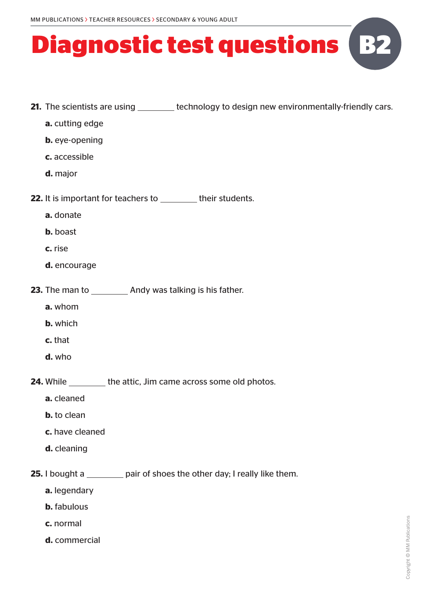- **21.** The scientists are using <u>the state of technology to design new environmentally-friendly cars.</u>
	- **a.** cutting edge
	- **b.** eye-opening
	- **c.** accessible
	- **d.** major
- **22.** It is important for teachers to \_\_\_\_\_\_\_\_ their students.
	- **a.** donate
	- **b.** boast
	- **c.** rise
	- **d.** encourage
- **23.** The man to **Andy was talking is his father.** 
	- **a.** whom
	- **b.** which
	- **c.** that
	- **d.** who

**24.** While the attic, Jim came across some old photos.

- **a.** cleaned
- **b.** to clean
- **c.** have cleaned
- **d.** cleaning

**25.** I bought a pair of shoes the other day; I really like them.

- **a.** legendary
- **b.** fabulous
- **c.** normal
- **d.** commercial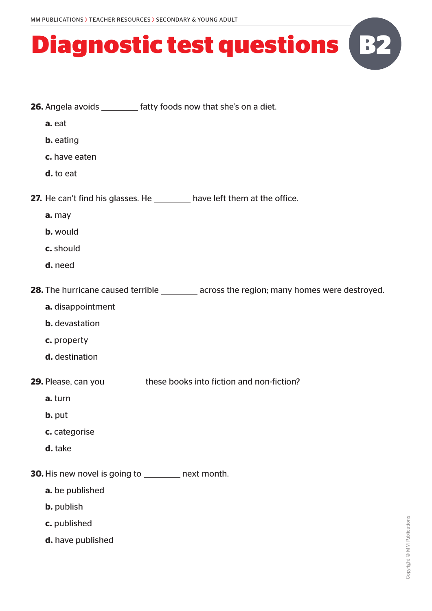**26.** Angela avoids \_\_\_\_\_\_\_\_ fatty foods now that she's on a diet.

#### **Diagnostic test questions B2**

**a.** eat **b.** eating **c.** have eaten **d.** to eat **27.** He can't find his glasses. He \_\_\_\_\_\_\_\_ have left them at the office. **a.** may **b.** would **c.** should **d.** need **28.** The hurricane caused terrible \_\_\_\_\_\_\_\_\_ across the region; many homes were destroyed. **a.** disappointment **b.** devastation **c.** property **d.** destination **29.** Please, can you \_\_\_\_\_\_\_\_\_ these books into fiction and non-fiction? **a.** turn **b.** put **c.** categorise **d.** take **30.** His new novel is going to \_\_\_\_\_\_\_ next month. **a.** be published **b.** publish **c.** published **d.** have published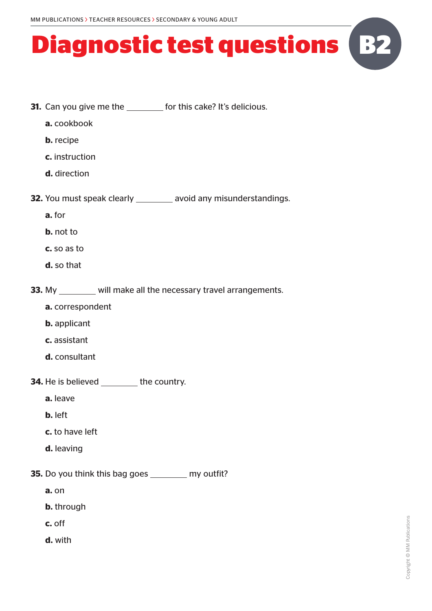

- **a.** cookbook
- **b.** recipe
- **c.** instruction
- **d.** direction
- **32.** You must speak clearly \_\_\_\_\_\_\_\_ avoid any misunderstandings.
	- **a.** for
	- **b.** not to
	- **c.** so as to
	- **d.** so that
- **33.** My will make all the necessary travel arrangements.
	- **a.** correspondent
	- **b.** applicant
	- **c.** assistant
	- **d.** consultant
- **34.** He is believed the country.
	- **a.** leave
	- **b.** left
	- **c.** to have left
	- **d.** leaving
- **35.** Do you think this bag goes \_\_\_\_\_\_\_\_ my outfit?
	- **a.** on
	- **b.** through
	- **c.** off
	- **d.** with